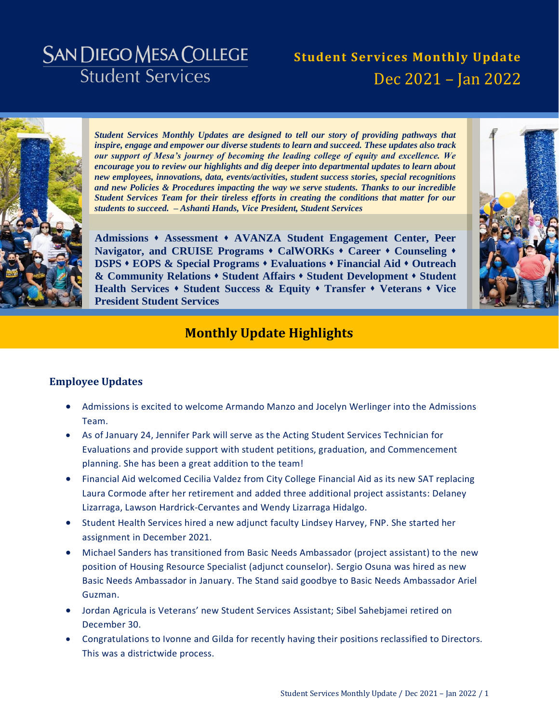# **SAN DIEGO MESA COLLEGE Student Services**

# **Student Services Monthly Update** Dec 2021 – Jan 2022



*Student Services Monthly Updates are designed to tell our story of providing pathways that inspire, engage and empower our diverse students to learn and succeed. These updates also track our support of Mesa's journey of becoming the leading college of equity and excellence. We encourage you to review our highlights and dig deeper into departmental updates to learn about new employees, innovations, data, events/activities, student success stories, special recognitions and new Policies & Procedures impacting the way we serve students. Thanks to our incredible Student Services Team for their tireless efforts in creating the conditions that matter for our students to succeed. – Ashanti Hands, Vice President, Student Services* 

**[Admissions](#page-4-0)** ⬧ **[Assessment](#page-6-0)** ⬧ **[AVANZA Student Engagement Center,](#page-7-0) [Peer](#page-7-1)  [Navigator, and CRUISE Programs](#page-7-1)** ⬧ **[CalWORKs](#page-8-0)** ⬧ **[Career](#page-9-0)** ⬧ **[Counseling](#page-11-0)** ⬧ **[DSPS](#page-12-0)** ⬧ **[EOPS & Special Programs](#page-13-0)** ⬧ **[Evaluations](#page-19-0)** ⬧ **[Financial Aid](#page-21-0)** ⬧ **[Outreach](#page-22-0)  [& Community Relations](#page-22-0)** ⬧ **[Student Affairs](#page-24-0)** ⬧ **[Student Development](#page-25-0)** ⬧ **[Student](#page-26-0)  [Health Services](#page-26-0)** ⬧ **[Student Success & Equity](#page-28-0)** ⬧ **[Transfer](#page-29-0)** ⬧ **[Veterans](#page-31-0)** ⬧ **[Vice](#page-32-0)  [President Student Services](#page-32-0)**



## **Monthly Update Highlights**

## **Employee Updates**

- Admissions is excited to welcome Armando Manzo and Jocelyn Werlinger into the Admissions Team.
- As of January 24, Jennifer Park will serve as the Acting Student Services Technician for Evaluations and provide support with student petitions, graduation, and Commencement planning. She has been a great addition to the team!
- Financial Aid welcomed Cecilia Valdez from City College Financial Aid as its new SAT replacing Laura Cormode after her retirement and added three additional project assistants: Delaney Lizarraga, Lawson Hardrick-Cervantes and Wendy Lizarraga Hidalgo.
- Student Health Services hired a new adjunct faculty Lindsey Harvey, FNP. She started her assignment in December 2021.
- Michael Sanders has transitioned from Basic Needs Ambassador (project assistant) to the new position of Housing Resource Specialist (adjunct counselor). Sergio Osuna was hired as new Basic Needs Ambassador in January. The Stand said goodbye to Basic Needs Ambassador Ariel Guzman.
- Jordan Agricula is Veterans' new Student Services Assistant; Sibel Sahebjamei retired on December 30.
- Congratulations to Ivonne and Gilda for recently having their positions reclassified to Directors. This was a districtwide process.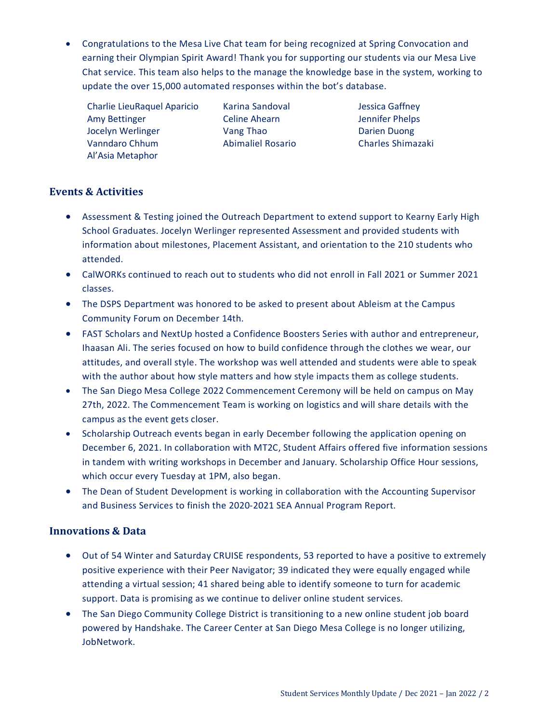• Congratulations to the Mesa Live Chat team for being recognized at Spring Convocation and earning their Olympian Spirit Award! Thank you for supporting our students via our Mesa Live Chat service. This team also helps to the manage the knowledge base in the system, working to update the over 15,000 automated responses within the bot's database.

Charlie LieuRaquel Aparicio Karina Sandoval Messica Gaffney Amy Bettinger **Celine Ahearn** Jennifer Phelps Jocelyn Werlinger **Vang Thao** Darien Duong Vanndaro Chhum Abimaliel Rosario Charles Shimazaki Al'Asia Metaphor

## **Events & Activities**

- Assessment & Testing joined the Outreach Department to extend support to Kearny Early High School Graduates. Jocelyn Werlinger represented Assessment and provided students with information about milestones, Placement Assistant, and orientation to the 210 students who attended.
- CalWORKs continued to reach out to students who did not enroll in Fall 2021 or Summer 2021 classes.
- The DSPS Department was honored to be asked to present about Ableism at the Campus Community Forum on December 14th.
- FAST Scholars and NextUp hosted a Confidence Boosters Series with author and entrepreneur, Ihaasan Ali. The series focused on how to build confidence through the clothes we wear, our attitudes, and overall style. The workshop was well attended and students were able to speak with the author about how style matters and how style impacts them as college students.
- The San Diego Mesa College 2022 Commencement Ceremony will be held on campus on May 27th, 2022. The Commencement Team is working on logistics and will share details with the campus as the event gets closer.
- Scholarship Outreach events began in early December following the application opening on December 6, 2021. In collaboration with MT2C, Student Affairs offered five information sessions in tandem with writing workshops in December and January. Scholarship Office Hour sessions, which occur every Tuesday at 1PM, also began.
- The Dean of Student Development is working in collaboration with the Accounting Supervisor and Business Services to finish the 2020-2021 SEA Annual Program Report.

### **Innovations & Data**

- Out of 54 Winter and Saturday CRUISE respondents, 53 reported to have a positive to extremely positive experience with their Peer Navigator; 39 indicated they were equally engaged while attending a virtual session; 41 shared being able to identify someone to turn for academic support. Data is promising as we continue to deliver online student services.
- The San Diego Community College District is transitioning to a new online student job board powered by Handshake. The Career Center at San Diego Mesa College is no longer utilizing, JobNetwork.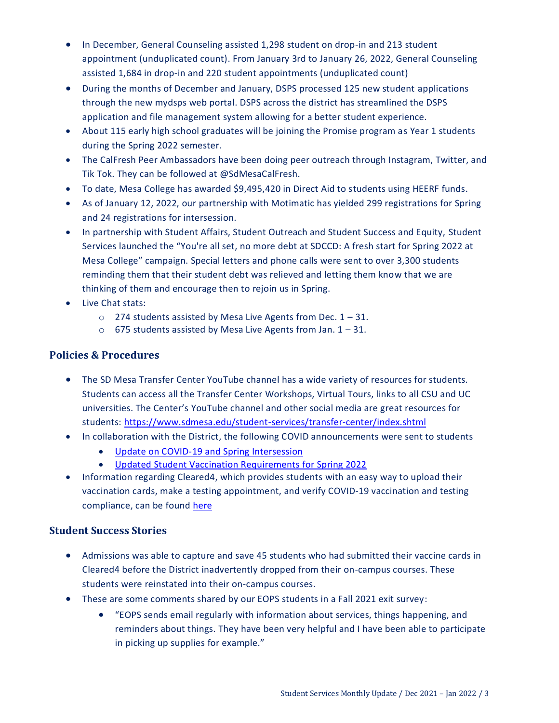- In December, General Counseling assisted 1,298 student on drop-in and 213 student appointment (unduplicated count). From January 3rd to January 26, 2022, General Counseling assisted 1,684 in drop-in and 220 student appointments (unduplicated count)
- During the months of December and January, DSPS processed 125 new student applications through the new mydsps web portal. DSPS across the district has streamlined the DSPS application and file management system allowing for a better student experience.
- About 115 early high school graduates will be joining the Promise program as Year 1 students during the Spring 2022 semester.
- The CalFresh Peer Ambassadors have been doing peer outreach through Instagram, Twitter, and Tik Tok. They can be followed at @SdMesaCalFresh.
- To date, Mesa College has awarded \$9,495,420 in Direct Aid to students using HEERF funds.
- As of January 12, 2022, our partnership with Motimatic has yielded 299 registrations for Spring and 24 registrations for intersession.
- In partnership with Student Affairs, Student Outreach and Student Success and Equity, Student Services launched the "You're all set, no more debt at SDCCD: A fresh start for Spring 2022 at Mesa College" campaign. Special letters and phone calls were sent to over 3,300 students reminding them that their student debt was relieved and letting them know that we are thinking of them and encourage then to rejoin us in Spring.
- Live Chat stats:
	- $\circ$  274 students assisted by Mesa Live Agents from Dec. 1 31.
	- $\circ$  675 students assisted by Mesa Live Agents from Jan. 1 31.

## **Policies & Procedures**

- The SD Mesa Transfer Center YouTube channel has a wide variety of resources for students. Students can access all the Transfer Center Workshops, Virtual Tours, links to all CSU and UC universities. The Center's YouTube channel and other social media are great resources for students:<https://www.sdmesa.edu/student-services/transfer-center/index.shtml>
- In collaboration with the District, the following COVID announcements were sent to students
	- [Update on COVID-19 and Spring Intersession](https://www.sdmesa.edu/covid19/documents/SDCCD%20COVID-19%20Email%20on%20Omicron%2001-02-2022.pdf)
	- [Updated Student Vaccination Requirements for Spring 2022](https://www.sdmesa.edu/covid19/documents/A26_Full_Vaccination_Notice%20-%20Spring%2022.pdf)
- Information regarding Cleared4, which provides students with an easy way to upload their vaccination cards, make a testing appointment, and verify COVID-19 vaccination and testing compliance, can be found [here](https://www.sdccd.edu/students/covid19/)

## **Student Success Stories**

- Admissions was able to capture and save 45 students who had submitted their vaccine cards in Cleared4 before the District inadvertently dropped from their on-campus courses. These students were reinstated into their on-campus courses.
- These are some comments shared by our EOPS students in a Fall 2021 exit survey:
	- "EOPS sends email regularly with information about services, things happening, and reminders about things. They have been very helpful and I have been able to participate in picking up supplies for example."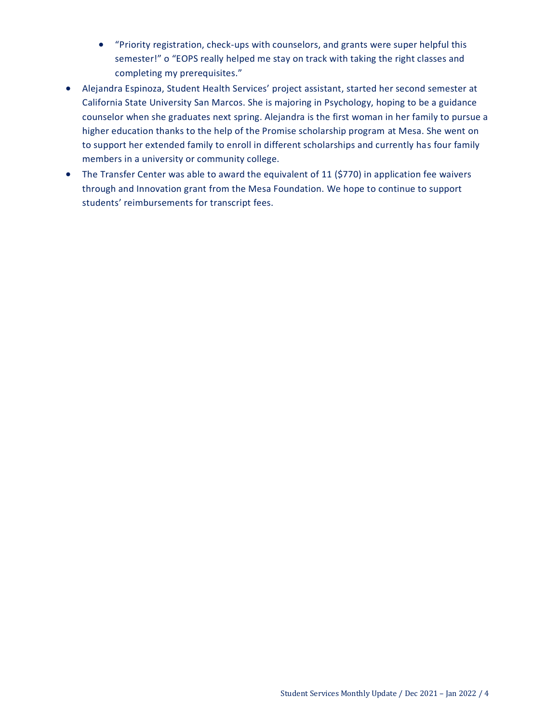- "Priority registration, check-ups with counselors, and grants were super helpful this semester!" o "EOPS really helped me stay on track with taking the right classes and completing my prerequisites."
- Alejandra Espinoza, Student Health Services' project assistant, started her second semester at California State University San Marcos. She is majoring in Psychology, hoping to be a guidance counselor when she graduates next spring. Alejandra is the first woman in her family to pursue a higher education thanks to the help of the Promise scholarship program at Mesa. She went on to support her extended family to enroll in different scholarships and currently has four family members in a university or community college.
- The Transfer Center was able to award the equivalent of 11 (\$770) in application fee waivers through and Innovation grant from the Mesa Foundation. We hope to continue to support students' reimbursements for transcript fees.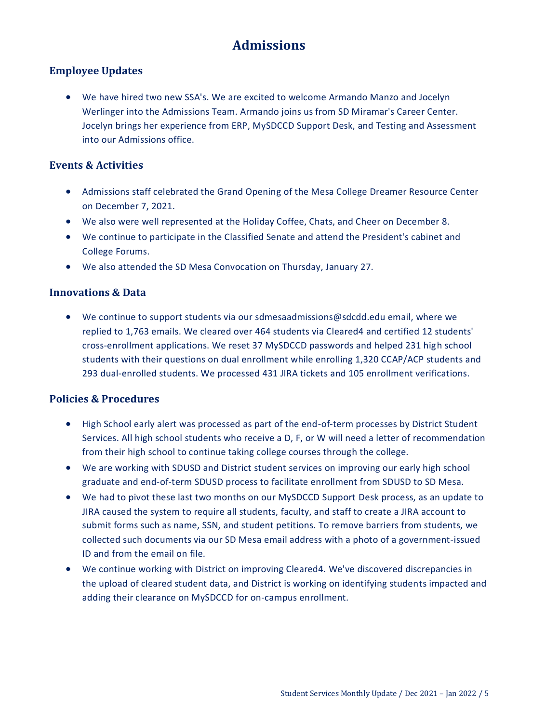## **Admissions**

## <span id="page-4-0"></span>**Employee Updates**

• We have hired two new SSA's. We are excited to welcome Armando Manzo and Jocelyn Werlinger into the Admissions Team. Armando joins us from SD Miramar's Career Center. Jocelyn brings her experience from ERP, MySDCCD Support Desk, and Testing and Assessment into our Admissions office.

## **Events & Activities**

- Admissions staff celebrated the Grand Opening of the Mesa College Dreamer Resource Center on December 7, 2021.
- We also were well represented at the Holiday Coffee, Chats, and Cheer on December 8.
- We continue to participate in the Classified Senate and attend the President's cabinet and College Forums.
- We also attended the SD Mesa Convocation on Thursday, January 27.

## **Innovations & Data**

• We continue to support students via our sdmesaadmissions@sdcdd.edu email, where we replied to 1,763 emails. We cleared over 464 students via Cleared4 and certified 12 students' cross-enrollment applications. We reset 37 MySDCCD passwords and helped 231 high school students with their questions on dual enrollment while enrolling 1,320 CCAP/ACP students and 293 dual-enrolled students. We processed 431 JIRA tickets and 105 enrollment verifications.

### **Policies & Procedures**

- High School early alert was processed as part of the end-of-term processes by District Student Services. All high school students who receive a D, F, or W will need a letter of recommendation from their high school to continue taking college courses through the college.
- We are working with SDUSD and District student services on improving our early high school graduate and end-of-term SDUSD process to facilitate enrollment from SDUSD to SD Mesa.
- We had to pivot these last two months on our MySDCCD Support Desk process, as an update to JIRA caused the system to require all students, faculty, and staff to create a JIRA account to submit forms such as name, SSN, and student petitions. To remove barriers from students, we collected such documents via our SD Mesa email address with a photo of a government-issued ID and from the email on file.
- We continue working with District on improving Cleared4. We've discovered discrepancies in the upload of cleared student data, and District is working on identifying students impacted and adding their clearance on MySDCCD for on-campus enrollment.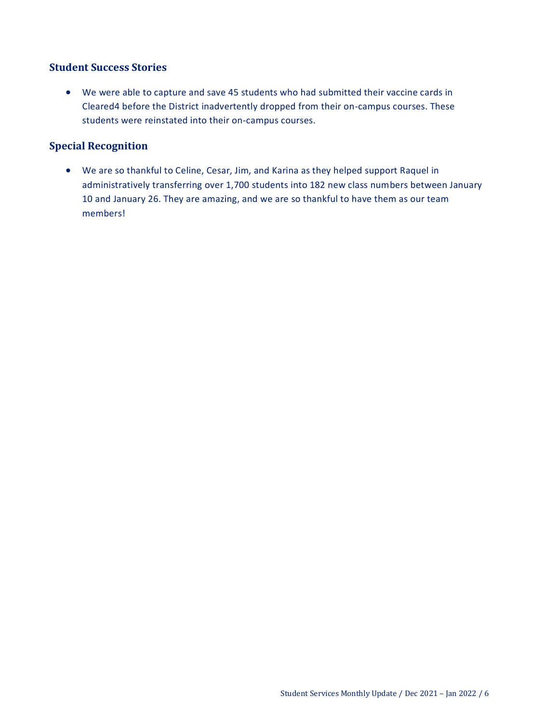## **Student Success Stories**

• We were able to capture and save 45 students who had submitted their vaccine cards in Cleared4 before the District inadvertently dropped from their on-campus courses. These students were reinstated into their on-campus courses.

## **Special Recognition**

• We are so thankful to Celine, Cesar, Jim, and Karina as they helped support Raquel in administratively transferring over 1,700 students into 182 new class numbers between January 10 and January 26. They are amazing, and we are so thankful to have them as our team members!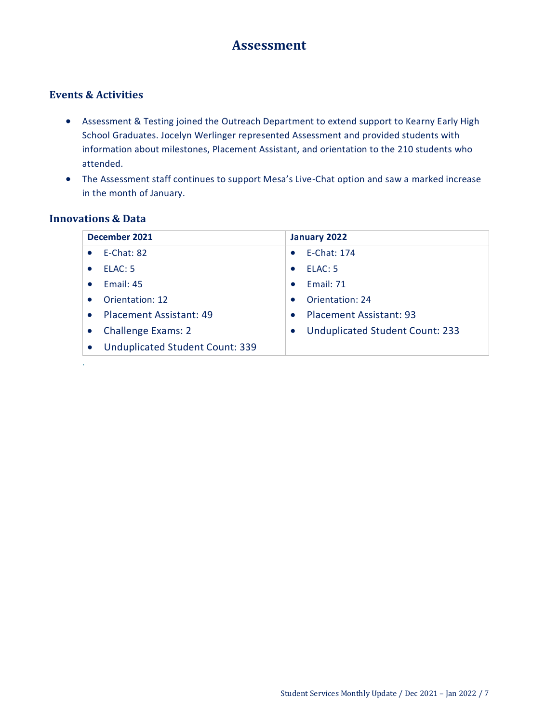## **Assessment**

## <span id="page-6-0"></span>**Events & Activities**

- Assessment & Testing joined the Outreach Department to extend support to Kearny Early High School Graduates. Jocelyn Werlinger represented Assessment and provided students with information about milestones, Placement Assistant, and orientation to the 210 students who attended.
- The Assessment staff continues to support Mesa's Live-Chat option and saw a marked increase in the month of January.

## **Innovations & Data**

.

| December 2021                                       | January 2022                           |  |
|-----------------------------------------------------|----------------------------------------|--|
| <b>E-Chat: 82</b><br>$\bullet$                      | E-Chat: 174                            |  |
| ELAC: 5<br>$\bullet$                                | ELAC: 5                                |  |
| Email: 45<br>$\bullet$                              | Email: 71                              |  |
| Orientation: 12<br>$\bullet$                        | Orientation: 24                        |  |
| <b>Placement Assistant: 49</b><br>$\bullet$         | <b>Placement Assistant: 93</b>         |  |
| <b>Challenge Exams: 2</b><br>$\bullet$              | <b>Unduplicated Student Count: 233</b> |  |
| <b>Unduplicated Student Count: 339</b><br>$\bullet$ |                                        |  |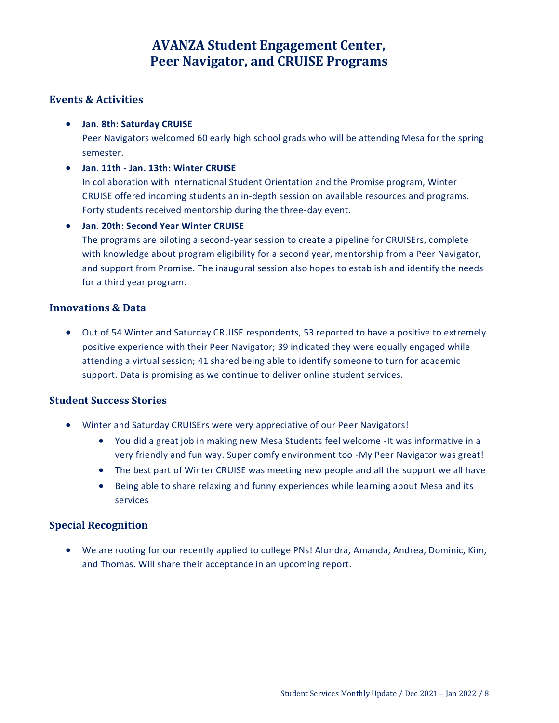## **AVANZA Student Engagement Center, Peer Navigator, and CRUISE Programs**

## <span id="page-7-1"></span><span id="page-7-0"></span>**Events & Activities**

• **Jan. 8th: Saturday CRUISE**

Peer Navigators welcomed 60 early high school grads who will be attending Mesa for the spring semester.

## • **Jan. 11th - Jan. 13th: Winter CRUISE**

In collaboration with International Student Orientation and the Promise program, Winter CRUISE offered incoming students an in-depth session on available resources and programs. Forty students received mentorship during the three-day event.

### • **Jan. 20th: Second Year Winter CRUISE**

The programs are piloting a second-year session to create a pipeline for CRUISErs, complete with knowledge about program eligibility for a second year, mentorship from a Peer Navigator, and support from Promise. The inaugural session also hopes to establish and identify the needs for a third year program.

### **Innovations & Data**

• Out of 54 Winter and Saturday CRUISE respondents, 53 reported to have a positive to extremely positive experience with their Peer Navigator; 39 indicated they were equally engaged while attending a virtual session; 41 shared being able to identify someone to turn for academic support. Data is promising as we continue to deliver online student services.

### **Student Success Stories**

- Winter and Saturday CRUISErs were very appreciative of our Peer Navigators!
	- You did a great job in making new Mesa Students feel welcome -It was informative in a very friendly and fun way. Super comfy environment too -My Peer Navigator was great!
	- The best part of Winter CRUISE was meeting new people and all the support we all have
	- Being able to share relaxing and funny experiences while learning about Mesa and its services

### **Special Recognition**

• We are rooting for our recently applied to college PNs! Alondra, Amanda, Andrea, Dominic, Kim, and Thomas. Will share their acceptance in an upcoming report.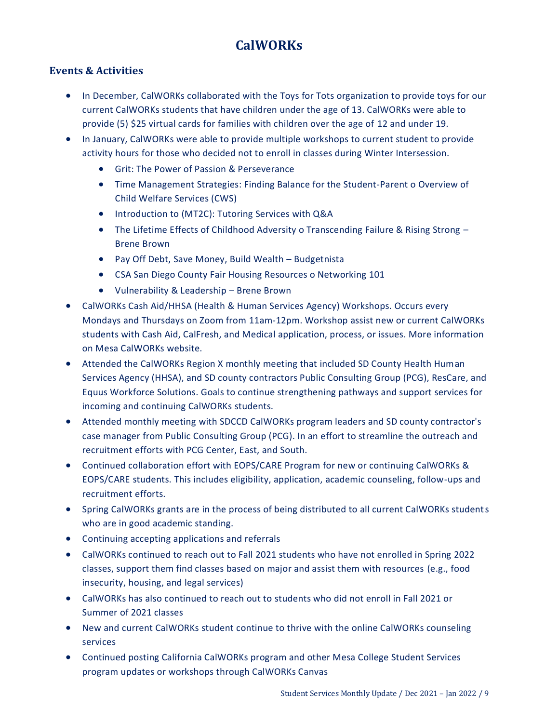## **CalWORKs**

## <span id="page-8-0"></span>**Events & Activities**

- In December, CalWORKs collaborated with the Toys for Tots organization to provide toys for our current CalWORKs students that have children under the age of 13. CalWORKs were able to provide (5) \$25 virtual cards for families with children over the age of 12 and under 19.
- In January, CalWORKs were able to provide multiple workshops to current student to provide activity hours for those who decided not to enroll in classes during Winter Intersession.
	- Grit: The Power of Passion & Perseverance
	- Time Management Strategies: Finding Balance for the Student-Parent o Overview of Child Welfare Services (CWS)
	- Introduction to (MT2C): Tutoring Services with Q&A
	- The Lifetime Effects of Childhood Adversity o Transcending Failure & Rising Strong -Brene Brown
	- Pay Off Debt, Save Money, Build Wealth Budgetnista
	- CSA San Diego County Fair Housing Resources o Networking 101
	- Vulnerability & Leadership Brene Brown
- CalWORKs Cash Aid/HHSA (Health & Human Services Agency) Workshops. Occurs every Mondays and Thursdays on Zoom from 11am-12pm. Workshop assist new or current CalWORKs students with Cash Aid, CalFresh, and Medical application, process, or issues. More information on Mesa CalWORKs website.
- Attended the CalWORKs Region X monthly meeting that included SD County Health Human Services Agency (HHSA), and SD county contractors Public Consulting Group (PCG), ResCare, and Equus Workforce Solutions. Goals to continue strengthening pathways and support services for incoming and continuing CalWORKs students.
- Attended monthly meeting with SDCCD CalWORKs program leaders and SD county contractor's case manager from Public Consulting Group (PCG). In an effort to streamline the outreach and recruitment efforts with PCG Center, East, and South.
- Continued collaboration effort with EOPS/CARE Program for new or continuing CalWORKs & EOPS/CARE students. This includes eligibility, application, academic counseling, follow-ups and recruitment efforts.
- Spring CalWORKs grants are in the process of being distributed to all current CalWORKs students who are in good academic standing.
- Continuing accepting applications and referrals
- CalWORKs continued to reach out to Fall 2021 students who have not enrolled in Spring 2022 classes, support them find classes based on major and assist them with resources (e.g., food insecurity, housing, and legal services)
- CalWORKs has also continued to reach out to students who did not enroll in Fall 2021 or Summer of 2021 classes
- New and current CalWORKs student continue to thrive with the online CalWORKs counseling services
- Continued posting California CalWORKs program and other Mesa College Student Services program updates or workshops through CalWORKs Canvas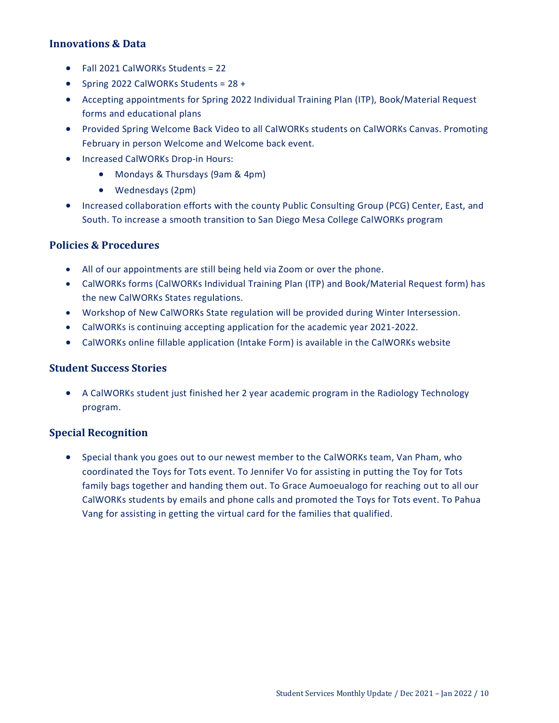### **Innovations & Data**

- Fall 2021 CalWORKs Students = 22
- Spring 2022 CalWORKs Students = 28 +
- Accepting appointments for Spring 2022 Individual Training Plan (ITP), Book/Material Request forms and educational plans
- Provided Spring Welcome Back Video to all CalWORKs students on CalWORKs Canvas. Promoting February in person Welcome and Welcome back event.
- Increased CalWORKs Drop-in Hours:
	- Mondays & Thursdays (9am & 4pm)
	- Wednesdays (2pm)
- Increased collaboration efforts with the county Public Consulting Group (PCG) Center, East, and South. To increase a smooth transition to San Diego Mesa College CalWORKs program

### **Policies & Procedures**

- All of our appointments are still being held via Zoom or over the phone.
- CalWORKs forms (CalWORKs Individual Training Plan (ITP) and Book/Material Request form) has the new CalWORKs States regulations.
- Workshop of New CalWORKs State regulation will be provided during Winter Intersession.
- CalWORKs is continuing accepting application for the academic year 2021-2022.
- CalWORKs online fillable application (Intake Form) is available in the CalWORKs website

#### **Student Success Stories**

• A CalWORKs student just finished her 2 year academic program in the Radiology Technology program.

### **Special Recognition**

<span id="page-9-0"></span>• Special thank you goes out to our newest member to the CalWORKs team, Van Pham, who coordinated the Toys for Tots event. To Jennifer Vo for assisting in putting the Toy for Tots family bags together and handing them out. To Grace Aumoeualogo for reaching out to all our CalWORKs students by emails and phone calls and promoted the Toys for Tots event. To Pahua Vang for assisting in getting the virtual card for the families that qualified.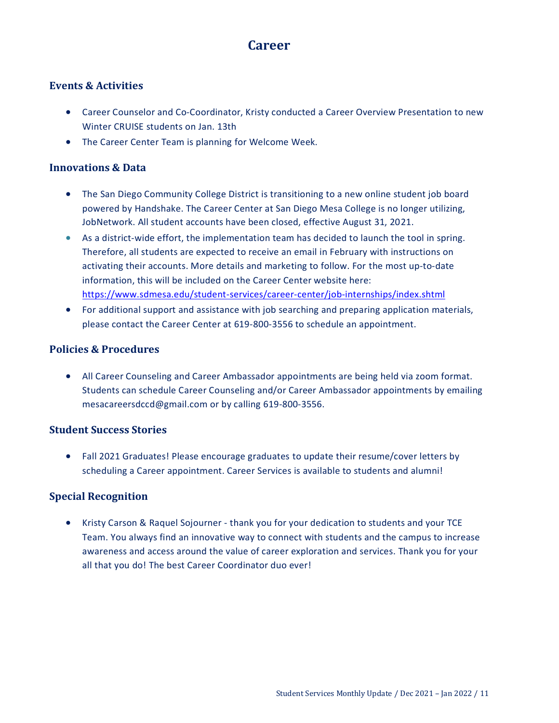## **Career**

## **Events & Activities**

- Career Counselor and Co-Coordinator, Kristy conducted a Career Overview Presentation to new Winter CRUISE students on Jan. 13th
- The Career Center Team is planning for Welcome Week.

### **Innovations & Data**

- The San Diego Community College District is transitioning to a new online student job board powered by Handshake. The Career Center at San Diego Mesa College is no longer utilizing, JobNetwork. All student accounts have been closed, effective August 31, 2021.
- As a district-wide effort, the implementation team has decided to launch the tool in spring. Therefore, all students are expected to receive an email in February with instructions on activating their accounts. More details and marketing to follow. For the most up-to-date information, this will be included on the Career Center website here: <https://www.sdmesa.edu/student-services/career-center/job-internships/index.shtml>
- For additional support and assistance with job searching and preparing application materials, please contact the Career Center at 619-800-3556 to schedule an appointment.

#### **Policies & Procedures**

• All Career Counseling and Career Ambassador appointments are being held via zoom format. Students can schedule Career Counseling and/or Career Ambassador appointments by emailing mesacareersdccd@gmail.com or by calling 619-800-3556.

### **Student Success Stories**

• Fall 2021 Graduates! Please encourage graduates to update their resume/cover letters by scheduling a Career appointment. Career Services is available to students and alumni!

### **Special Recognition**

• Kristy Carson & Raquel Sojourner - thank you for your dedication to students and your TCE Team. You always find an innovative way to connect with students and the campus to increase awareness and access around the value of career exploration and services. Thank you for your all that you do! The best Career Coordinator duo ever!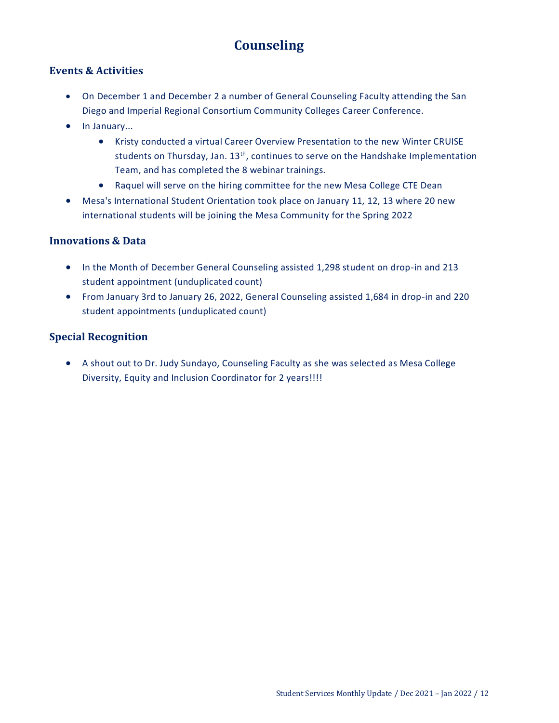## **Counseling**

## <span id="page-11-0"></span>**Events & Activities**

- On December 1 and December 2 a number of General Counseling Faculty attending the San Diego and Imperial Regional Consortium Community Colleges Career Conference.
- In January...
	- Kristy conducted a virtual Career Overview Presentation to the new Winter CRUISE students on Thursday, Jan.  $13<sup>th</sup>$ , continues to serve on the Handshake Implementation Team, and has completed the 8 webinar trainings.
	- Raquel will serve on the hiring committee for the new Mesa College CTE Dean
- Mesa's International Student Orientation took place on January 11, 12, 13 where 20 new international students will be joining the Mesa Community for the Spring 2022

## **Innovations & Data**

- In the Month of December General Counseling assisted 1,298 student on drop-in and 213 student appointment (unduplicated count)
- From January 3rd to January 26, 2022, General Counseling assisted 1,684 in drop-in and 220 student appointments (unduplicated count)

## **Special Recognition**

• A shout out to Dr. Judy Sundayo, Counseling Faculty as she was selected as Mesa College Diversity, Equity and Inclusion Coordinator for 2 years!!!!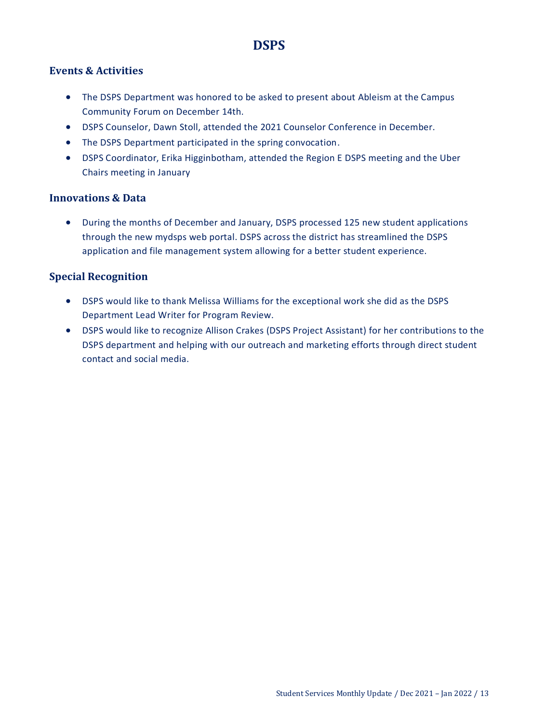## **DSPS**

## <span id="page-12-0"></span>**Events & Activities**

- The DSPS Department was honored to be asked to present about Ableism at the Campus Community Forum on December 14th.
- DSPS Counselor, Dawn Stoll, attended the 2021 Counselor Conference in December.
- The DSPS Department participated in the spring convocation.
- DSPS Coordinator, Erika Higginbotham, attended the Region E DSPS meeting and the Uber Chairs meeting in January

### **Innovations & Data**

• During the months of December and January, DSPS processed 125 new student applications through the new mydsps web portal. DSPS across the district has streamlined the DSPS application and file management system allowing for a better student experience.

### **Special Recognition**

- DSPS would like to thank Melissa Williams for the exceptional work she did as the DSPS Department Lead Writer for Program Review.
- DSPS would like to recognize Allison Crakes (DSPS Project Assistant) for her contributions to the DSPS department and helping with our outreach and marketing efforts through direct student contact and social media.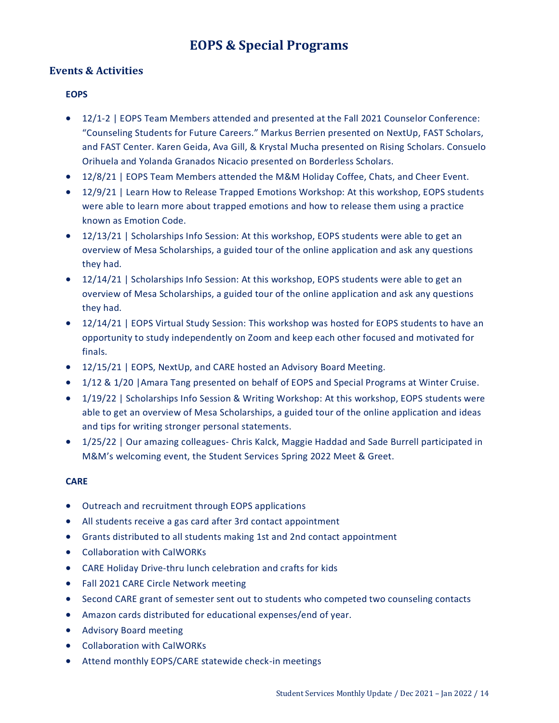## **EOPS & Special Programs**

### <span id="page-13-0"></span>**Events & Activities**

#### **EOPS**

- 12/1-2 | EOPS Team Members attended and presented at the Fall 2021 Counselor Conference: "Counseling Students for Future Careers." Markus Berrien presented on NextUp, FAST Scholars, and FAST Center. Karen Geida, Ava Gill, & Krystal Mucha presented on Rising Scholars. Consuelo Orihuela and Yolanda Granados Nicacio presented on Borderless Scholars.
- 12/8/21 | EOPS Team Members attended the M&M Holiday Coffee, Chats, and Cheer Event.
- 12/9/21 | Learn How to Release Trapped Emotions Workshop: At this workshop, EOPS students were able to learn more about trapped emotions and how to release them using a practice known as Emotion Code.
- 12/13/21 | Scholarships Info Session: At this workshop, EOPS students were able to get an overview of Mesa Scholarships, a guided tour of the online application and ask any questions they had.
- 12/14/21 | Scholarships Info Session: At this workshop, EOPS students were able to get an overview of Mesa Scholarships, a guided tour of the online application and ask any questions they had.
- 12/14/21 | EOPS Virtual Study Session: This workshop was hosted for EOPS students to have an opportunity to study independently on Zoom and keep each other focused and motivated for finals.
- 12/15/21 | EOPS, NextUp, and CARE hosted an Advisory Board Meeting.
- 1/12 & 1/20 |Amara Tang presented on behalf of EOPS and Special Programs at Winter Cruise.
- 1/19/22 | Scholarships Info Session & Writing Workshop: At this workshop, EOPS students were able to get an overview of Mesa Scholarships, a guided tour of the online application and ideas and tips for writing stronger personal statements.
- 1/25/22 | Our amazing colleagues- Chris Kalck, Maggie Haddad and Sade Burrell participated in M&M's welcoming event, the Student Services Spring 2022 Meet & Greet.

#### **CARE**

- Outreach and recruitment through EOPS applications
- All students receive a gas card after 3rd contact appointment
- Grants distributed to all students making 1st and 2nd contact appointment
- Collaboration with CalWORKs
- CARE Holiday Drive-thru lunch celebration and crafts for kids
- Fall 2021 CARE Circle Network meeting
- Second CARE grant of semester sent out to students who competed two counseling contacts
- Amazon cards distributed for educational expenses/end of year.
- Advisory Board meeting
- Collaboration with CalWORKs
- Attend monthly EOPS/CARE statewide check-in meetings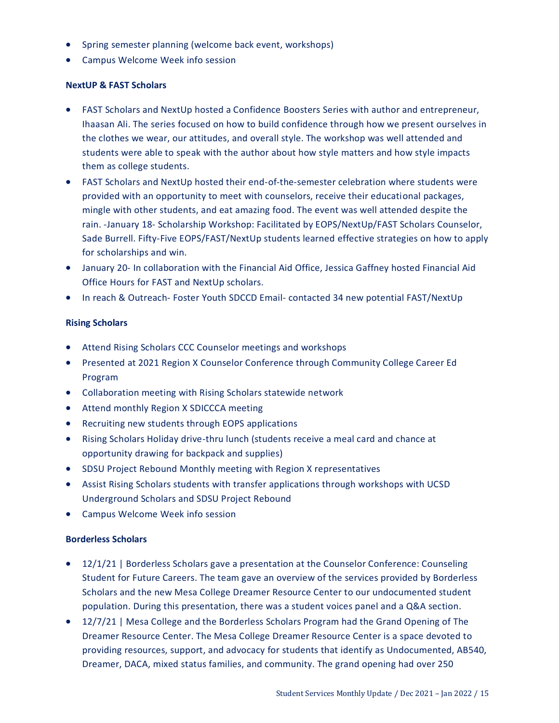- Spring semester planning (welcome back event, workshops)
- Campus Welcome Week info session

#### **NextUP & FAST Scholars**

- FAST Scholars and NextUp hosted a Confidence Boosters Series with author and entrepreneur, Ihaasan Ali. The series focused on how to build confidence through how we present ourselves in the clothes we wear, our attitudes, and overall style. The workshop was well attended and students were able to speak with the author about how style matters and how style impacts them as college students.
- FAST Scholars and NextUp hosted their end-of-the-semester celebration where students were provided with an opportunity to meet with counselors, receive their educational packages, mingle with other students, and eat amazing food. The event was well attended despite the rain. -January 18- Scholarship Workshop: Facilitated by EOPS/NextUp/FAST Scholars Counselor, Sade Burrell. Fifty-Five EOPS/FAST/NextUp students learned effective strategies on how to apply for scholarships and win.
- January 20- In collaboration with the Financial Aid Office, Jessica Gaffney hosted Financial Aid Office Hours for FAST and NextUp scholars.
- In reach & Outreach- Foster Youth SDCCD Email- contacted 34 new potential FAST/NextUp

#### **Rising Scholars**

- Attend Rising Scholars CCC Counselor meetings and workshops
- Presented at 2021 Region X Counselor Conference through Community College Career Ed Program
- Collaboration meeting with Rising Scholars statewide network
- Attend monthly Region X SDICCCA meeting
- Recruiting new students through EOPS applications
- Rising Scholars Holiday drive-thru lunch (students receive a meal card and chance at opportunity drawing for backpack and supplies)
- SDSU Project Rebound Monthly meeting with Region X representatives
- Assist Rising Scholars students with transfer applications through workshops with UCSD Underground Scholars and SDSU Project Rebound
- Campus Welcome Week info session

#### **Borderless Scholars**

- 12/1/21 | Borderless Scholars gave a presentation at the Counselor Conference: Counseling Student for Future Careers. The team gave an overview of the services provided by Borderless Scholars and the new Mesa College Dreamer Resource Center to our undocumented student population. During this presentation, there was a student voices panel and a Q&A section.
- 12/7/21 | Mesa College and the Borderless Scholars Program had the Grand Opening of The Dreamer Resource Center. The Mesa College Dreamer Resource Center is a space devoted to providing resources, support, and advocacy for students that identify as Undocumented, AB540, Dreamer, DACA, mixed status families, and community. The grand opening had over 250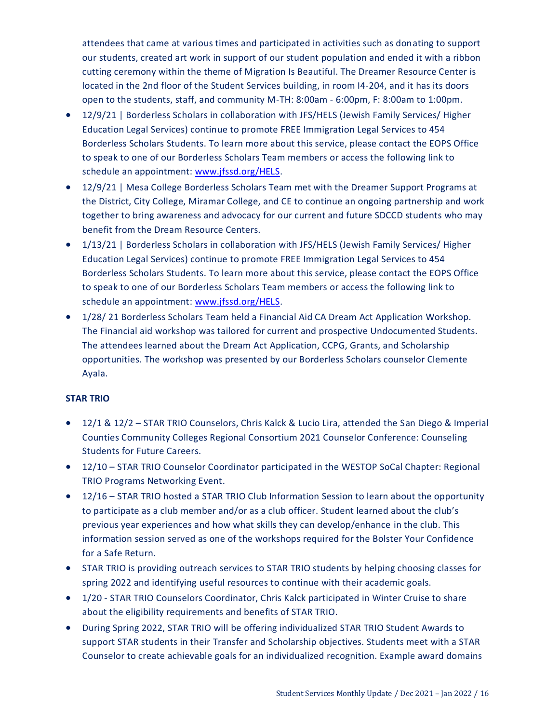attendees that came at various times and participated in activities such as donating to support our students, created art work in support of our student population and ended it with a ribbon cutting ceremony within the theme of Migration Is Beautiful. The Dreamer Resource Center is located in the 2nd floor of the Student Services building, in room I4-204, and it has its doors open to the students, staff, and community M-TH: 8:00am - 6:00pm, F: 8:00am to 1:00pm.

- 12/9/21 | Borderless Scholars in collaboration with JFS/HELS (Jewish Family Services/ Higher Education Legal Services) continue to promote FREE Immigration Legal Services to 454 Borderless Scholars Students. To learn more about this service, please contact the EOPS Office to speak to one of our Borderless Scholars Team members or access the following link to schedule an appointment: [www.jfssd.org/HELS.](http://www.jfssd.org/HELS)
- 12/9/21 | Mesa College Borderless Scholars Team met with the Dreamer Support Programs at the District, City College, Miramar College, and CE to continue an ongoing partnership and work together to bring awareness and advocacy for our current and future SDCCD students who may benefit from the Dream Resource Centers.
- 1/13/21 | Borderless Scholars in collaboration with JFS/HELS (Jewish Family Services/ Higher Education Legal Services) continue to promote FREE Immigration Legal Services to 454 Borderless Scholars Students. To learn more about this service, please contact the EOPS Office to speak to one of our Borderless Scholars Team members or access the following link to schedule an appointment: [www.jfssd.org/HELS.](http://www.jfssd.org/HELS)
- 1/28/ 21 Borderless Scholars Team held a Financial Aid CA Dream Act Application Workshop. The Financial aid workshop was tailored for current and prospective Undocumented Students. The attendees learned about the Dream Act Application, CCPG, Grants, and Scholarship opportunities. The workshop was presented by our Borderless Scholars counselor Clemente Ayala.

#### **STAR TRIO**

- 12/1 & 12/2 STAR TRIO Counselors, Chris Kalck & Lucio Lira, attended the San Diego & Imperial Counties Community Colleges Regional Consortium 2021 Counselor Conference: Counseling Students for Future Careers.
- 12/10 STAR TRIO Counselor Coordinator participated in the WESTOP SoCal Chapter: Regional TRIO Programs Networking Event.
- 12/16 STAR TRIO hosted a STAR TRIO Club Information Session to learn about the opportunity to participate as a club member and/or as a club officer. Student learned about the club's previous year experiences and how what skills they can develop/enhance in the club. This information session served as one of the workshops required for the Bolster Your Confidence for a Safe Return.
- STAR TRIO is providing outreach services to STAR TRIO students by helping choosing classes for spring 2022 and identifying useful resources to continue with their academic goals.
- 1/20 STAR TRIO Counselors Coordinator, Chris Kalck participated in Winter Cruise to share about the eligibility requirements and benefits of STAR TRIO.
- During Spring 2022, STAR TRIO will be offering individualized STAR TRIO Student Awards to support STAR students in their Transfer and Scholarship objectives. Students meet with a STAR Counselor to create achievable goals for an individualized recognition. Example award domains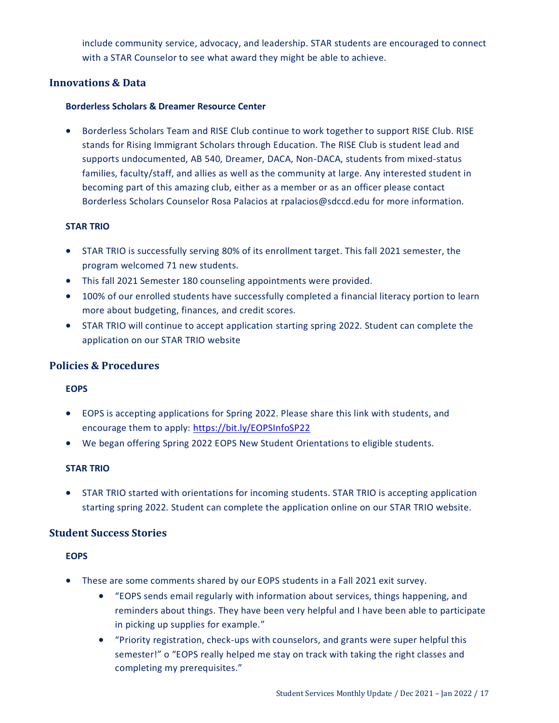include community service, advocacy, and leadership. STAR students are encouraged to connect with a STAR Counselor to see what award they might be able to achieve.

### **Innovations & Data**

#### **Borderless Scholars & Dreamer Resource Center**

• Borderless Scholars Team and RISE Club continue to work together to support RISE Club. RISE stands for Rising Immigrant Scholars through Education. The RISE Club is student lead and supports undocumented, AB 540, Dreamer, DACA, Non-DACA, students from mixed-status families, faculty/staff, and allies as well as the community at large. Any interested student in becoming part of this amazing club, either as a member or as an officer please contact Borderless Scholars Counselor Rosa Palacios at rpalacios@sdccd.edu for more information.

#### **STAR TRIO**

- STAR TRIO is successfully serving 80% of its enrollment target. This fall 2021 semester, the program welcomed 71 new students.
- This fall 2021 Semester 180 counseling appointments were provided.
- 100% of our enrolled students have successfully completed a financial literacy portion to learn more about budgeting, finances, and credit scores.
- STAR TRIO will continue to accept application starting spring 2022. Student can complete the application on our STAR TRIO website

### **Policies & Procedures**

#### **EOPS**

- EOPS is accepting applications for Spring 2022. Please share this link with students, and encourage them to apply:<https://bit.ly/EOPSInfoSP22>
- We began offering Spring 2022 EOPS New Student Orientations to eligible students.

#### **STAR TRIO**

• STAR TRIO started with orientations for incoming students. STAR TRIO is accepting application starting spring 2022. Student can complete the application online on our STAR TRIO website.

### **Student Success Stories**

#### **EOPS**

- These are some comments shared by our EOPS students in a Fall 2021 exit survey.
	- "EOPS sends email regularly with information about services, things happening, and reminders about things. They have been very helpful and I have been able to participate in picking up supplies for example."
	- "Priority registration, check-ups with counselors, and grants were super helpful this semester!" o "EOPS really helped me stay on track with taking the right classes and completing my prerequisites."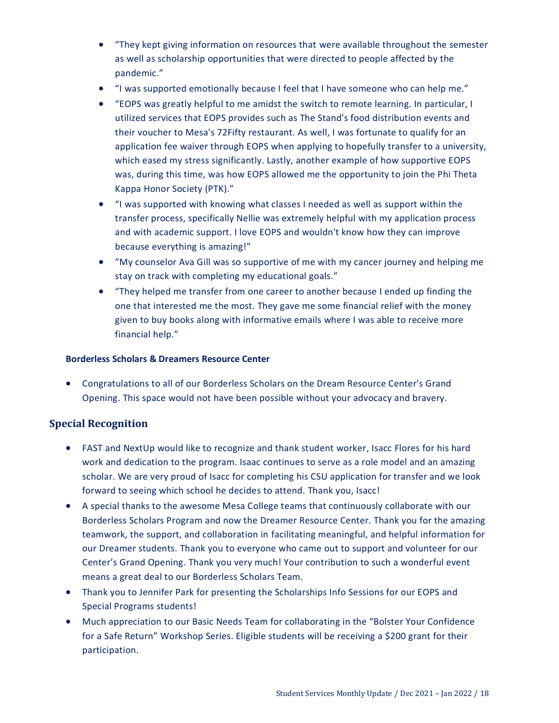- "They kept giving information on resources that were available throughout the semester as well as scholarship opportunities that were directed to people affected by the pandemic."
- "I was supported emotionally because I feel that I have someone who can help me."
- "EOPS was greatly helpful to me amidst the switch to remote learning. In particular, I utilized services that EOPS provides such as The Stand's food distribution events and their voucher to Mesa's 72Fifty restaurant. As well, I was fortunate to qualify for an application fee waiver through EOPS when applying to hopefully transfer to a university, which eased my stress significantly. Lastly, another example of how supportive EOPS was, during this time, was how EOPS allowed me the opportunity to join the Phi Theta Kappa Honor Society (PTK)."
- "I was supported with knowing what classes I needed as well as support within the transfer process, specifically Nellie was extremely helpful with my application process and with academic support. I love EOPS and wouldn't know how they can improve because everything is amazing!"
- "My counselor Ava Gill was so supportive of me with my cancer journey and helping me stay on track with completing my educational goals."
- "They helped me transfer from one career to another because I ended up finding the one that interested me the most. They gave me some financial relief with the money given to buy books along with informative emails where I was able to receive more financial help."

#### **Borderless Scholars & Dreamers Resource Center**

• Congratulations to all of our Borderless Scholars on the Dream Resource Center's Grand Opening. This space would not have been possible without your advocacy and bravery.

## **Special Recognition**

- FAST and NextUp would like to recognize and thank student worker, Isacc Flores for his hard work and dedication to the program. Isaac continues to serve as a role model and an amazing scholar. We are very proud of Isacc for completing his CSU application for transfer and we look forward to seeing which school he decides to attend. Thank you, Isacc!
- A special thanks to the awesome Mesa College teams that continuously collaborate with our Borderless Scholars Program and now the Dreamer Resource Center. Thank you for the amazing teamwork, the support, and collaboration in facilitating meaningful, and helpful information for our Dreamer students. Thank you to everyone who came out to support and volunteer for our Center's Grand Opening. Thank you very much! Your contribution to such a wonderful event means a great deal to our Borderless Scholars Team.
- Thank you to Jennifer Park for presenting the Scholarships Info Sessions for our EOPS and Special Programs students!
- Much appreciation to our Basic Needs Team for collaborating in the "Bolster Your Confidence for a Safe Return" Workshop Series. Eligible students will be receiving a \$200 grant for their participation.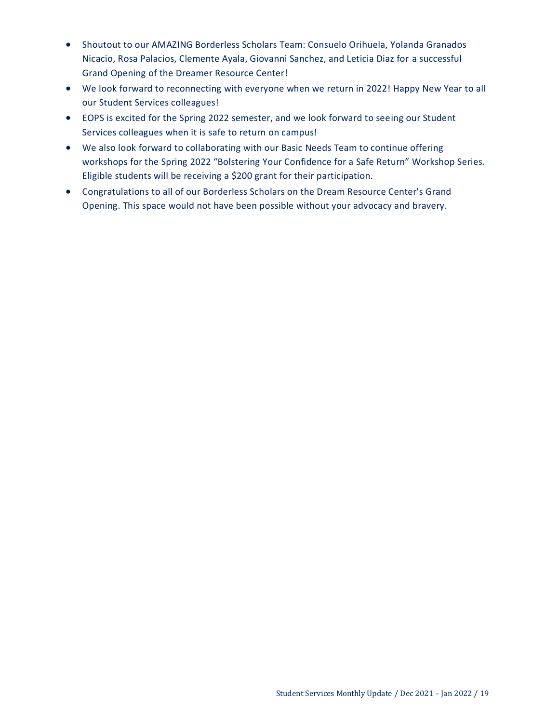- Shoutout to our AMAZING Borderless Scholars Team: Consuelo Orihuela, Yolanda Granados Nicacio, Rosa Palacios, Clemente Ayala, Giovanni Sanchez, and Leticia Diaz for a successful Grand Opening of the Dreamer Resource Center!
- We look forward to reconnecting with everyone when we return in 2022! Happy New Year to all our Student Services colleagues!
- EOPS is excited for the Spring 2022 semester, and we look forward to seeing our Student Services colleagues when it is safe to return on campus!
- We also look forward to collaborating with our Basic Needs Team to continue offering workshops for the Spring 2022 "Bolstering Your Confidence for a Safe Return" Workshop Series. Eligible students will be receiving a \$200 grant for their participation.
- Congratulations to all of our Borderless Scholars on the Dream Resource Center's Grand Opening. This space would not have been possible without your advocacy and bravery.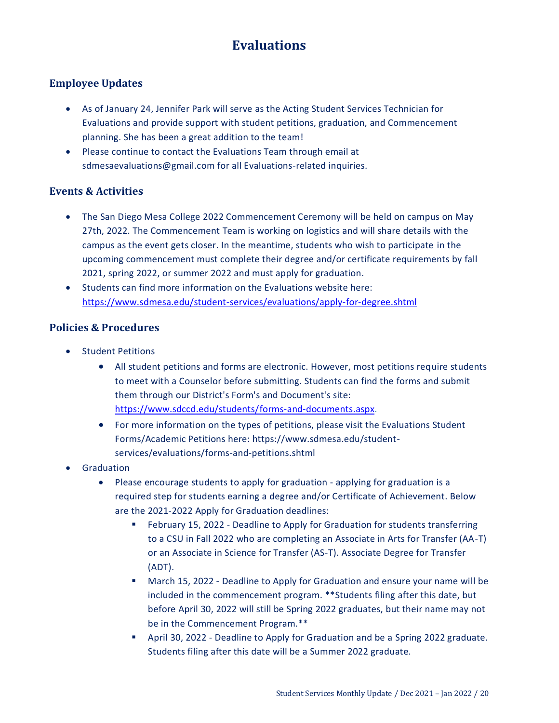## **Evaluations**

## <span id="page-19-0"></span>**Employee Updates**

- As of January 24, Jennifer Park will serve as the Acting Student Services Technician for Evaluations and provide support with student petitions, graduation, and Commencement planning. She has been a great addition to the team!
- Please continue to contact the Evaluations Team through email at sdmesaevaluations@gmail.com for all Evaluations-related inquiries.

## **Events & Activities**

- The San Diego Mesa College 2022 Commencement Ceremony will be held on campus on May 27th, 2022. The Commencement Team is working on logistics and will share details with the campus as the event gets closer. In the meantime, students who wish to participate in the upcoming commencement must complete their degree and/or certificate requirements by fall 2021, spring 2022, or summer 2022 and must apply for graduation.
- Students can find more information on the Evaluations website here: <https://www.sdmesa.edu/student-services/evaluations/apply-for-degree.shtml>

## **Policies & Procedures**

- Student Petitions
	- All student petitions and forms are electronic. However, most petitions require students to meet with a Counselor before submitting. Students can find the forms and submit them through our District's Form's and Document's site: [https://www.sdccd.edu/students/forms-and-documents.aspx.](https://www.sdccd.edu/students/forms-and-documents.aspx)
	- For more information on the types of petitions, please visit the Evaluations Student Forms/Academic Petitions here: https://www.sdmesa.edu/studentservices/evaluations/forms-and-petitions.shtml
- **Graduation** 
	- Please encourage students to apply for graduation applying for graduation is a required step for students earning a degree and/or Certificate of Achievement. Below are the 2021-2022 Apply for Graduation deadlines:
		- February 15, 2022 Deadline to Apply for Graduation for students transferring to a CSU in Fall 2022 who are completing an Associate in Arts for Transfer (AA-T) or an Associate in Science for Transfer (AS-T). Associate Degree for Transfer (ADT).
		- March 15, 2022 Deadline to Apply for Graduation and ensure your name will be included in the commencement program. \*\*Students filing after this date, but before April 30, 2022 will still be Spring 2022 graduates, but their name may not be in the Commencement Program.\*\*
		- April 30, 2022 Deadline to Apply for Graduation and be a Spring 2022 graduate. Students filing after this date will be a Summer 2022 graduate.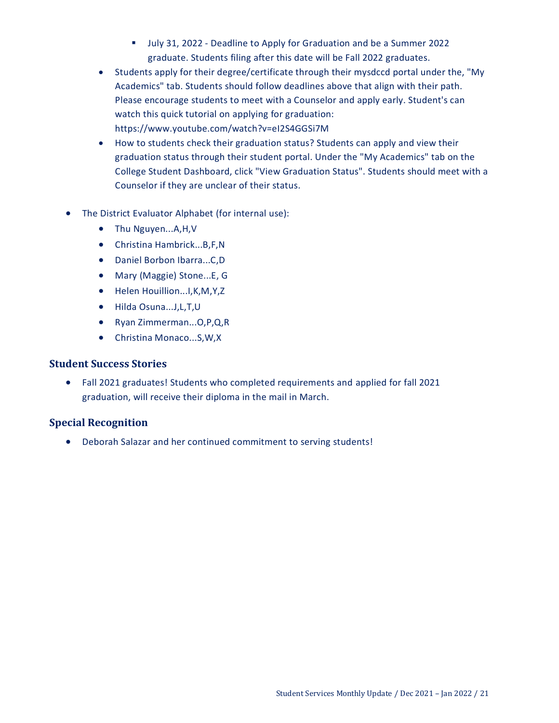- July 31, 2022 Deadline to Apply for Graduation and be a Summer 2022 graduate. Students filing after this date will be Fall 2022 graduates.
- Students apply for their degree/certificate through their mysdccd portal under the, "My Academics" tab. Students should follow deadlines above that align with their path. Please encourage students to meet with a Counselor and apply early. Student's can watch this quick tutorial on applying for graduation: https://www.youtube.com/watch?v=eI2S4GGSi7M
- How to students check their graduation status? Students can apply and view their graduation status through their student portal. Under the "My Academics" tab on the College Student Dashboard, click "View Graduation Status". Students should meet with a Counselor if they are unclear of their status.
- The District Evaluator Alphabet (for internal use):
	- Thu Nguyen...A,H,V
	- Christina Hambrick...B,F,N
	- Daniel Borbon Ibarra...C,D
	- Mary (Maggie) Stone...E, G
	- Helen Houillion...I,K,M,Y,Z
	- Hilda Osuna...J,L,T,U
	- Ryan Zimmerman...O,P,Q,R
	- Christina Monaco...S,W,X

## **Student Success Stories**

• Fall 2021 graduates! Students who completed requirements and applied for fall 2021 graduation, will receive their diploma in the mail in March.

## **Special Recognition**

• Deborah Salazar and her continued commitment to serving students!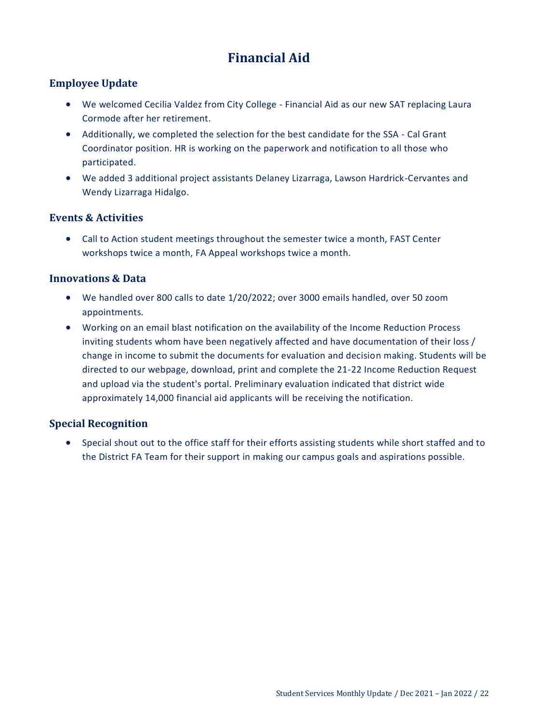## **Financial Aid**

## <span id="page-21-0"></span>**Employee Update**

- We welcomed Cecilia Valdez from City College Financial Aid as our new SAT replacing Laura Cormode after her retirement.
- Additionally, we completed the selection for the best candidate for the SSA Cal Grant Coordinator position. HR is working on the paperwork and notification to all those who participated.
- We added 3 additional project assistants Delaney Lizarraga, Lawson Hardrick-Cervantes and Wendy Lizarraga Hidalgo.

### **Events & Activities**

• Call to Action student meetings throughout the semester twice a month, FAST Center workshops twice a month, FA Appeal workshops twice a month.

## **Innovations & Data**

- We handled over 800 calls to date 1/20/2022; over 3000 emails handled, over 50 zoom appointments.
- Working on an email blast notification on the availability of the Income Reduction Process inviting students whom have been negatively affected and have documentation of their loss / change in income to submit the documents for evaluation and decision making. Students will be directed to our webpage, download, print and complete the 21-22 Income Reduction Request and upload via the student's portal. Preliminary evaluation indicated that district wide approximately 14,000 financial aid applicants will be receiving the notification.

### **Special Recognition**

• Special shout out to the office staff for their efforts assisting students while short staffed and to the District FA Team for their support in making our campus goals and aspirations possible.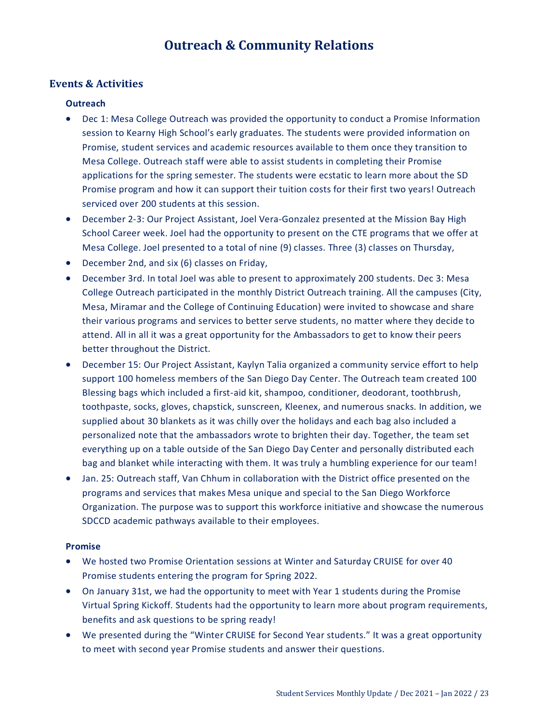## **Outreach & Community Relations**

### <span id="page-22-0"></span>**Events & Activities**

#### **Outreach**

- Dec 1: Mesa College Outreach was provided the opportunity to conduct a Promise Information session to Kearny High School's early graduates. The students were provided information on Promise, student services and academic resources available to them once they transition to Mesa College. Outreach staff were able to assist students in completing their Promise applications for the spring semester. The students were ecstatic to learn more about the SD Promise program and how it can support their tuition costs for their first two years! Outreach serviced over 200 students at this session.
- December 2-3: Our Project Assistant, Joel Vera-Gonzalez presented at the Mission Bay High School Career week. Joel had the opportunity to present on the CTE programs that we offer at Mesa College. Joel presented to a total of nine (9) classes. Three (3) classes on Thursday,
- December 2nd, and six (6) classes on Friday,
- December 3rd. In total Joel was able to present to approximately 200 students. Dec 3: Mesa College Outreach participated in the monthly District Outreach training. All the campuses (City, Mesa, Miramar and the College of Continuing Education) were invited to showcase and share their various programs and services to better serve students, no matter where they decide to attend. All in all it was a great opportunity for the Ambassadors to get to know their peers better throughout the District.
- December 15: Our Project Assistant, Kaylyn Talia organized a community service effort to help support 100 homeless members of the San Diego Day Center. The Outreach team created 100 Blessing bags which included a first-aid kit, shampoo, conditioner, deodorant, toothbrush, toothpaste, socks, gloves, chapstick, sunscreen, Kleenex, and numerous snacks. In addition, we supplied about 30 blankets as it was chilly over the holidays and each bag also included a personalized note that the ambassadors wrote to brighten their day. Together, the team set everything up on a table outside of the San Diego Day Center and personally distributed each bag and blanket while interacting with them. It was truly a humbling experience for our team!
- Jan. 25: Outreach staff, Van Chhum in collaboration with the District office presented on the programs and services that makes Mesa unique and special to the San Diego Workforce Organization. The purpose was to support this workforce initiative and showcase the numerous SDCCD academic pathways available to their employees.

#### **Promise**

- We hosted two Promise Orientation sessions at Winter and Saturday CRUISE for over 40 Promise students entering the program for Spring 2022.
- On January 31st, we had the opportunity to meet with Year 1 students during the Promise Virtual Spring Kickoff. Students had the opportunity to learn more about program requirements, benefits and ask questions to be spring ready!
- We presented during the "Winter CRUISE for Second Year students." It was a great opportunity to meet with second year Promise students and answer their questions.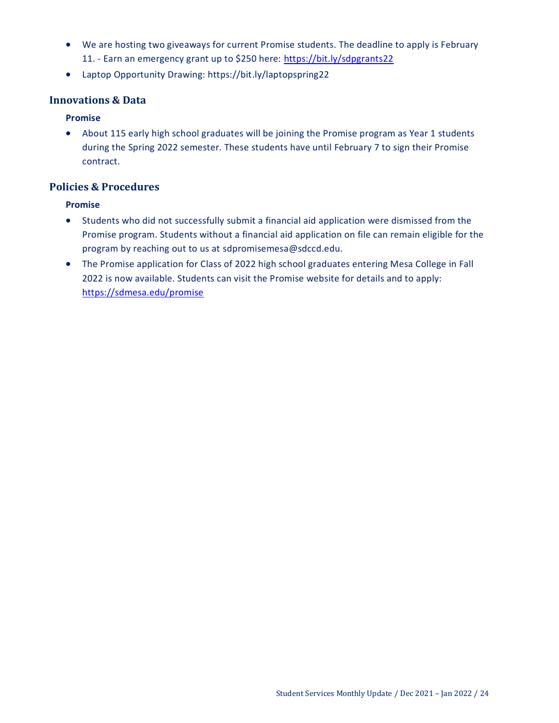- We are hosting two giveaways for current Promise students. The deadline to apply is February 11. - Earn an emergency grant up to \$250 here:<https://bit.ly/sdpgrants22>
- Laptop Opportunity Drawing: https://bit.ly/laptopspring22

## **Innovations & Data**

### **Promise**

• About 115 early high school graduates will be joining the Promise program as Year 1 students during the Spring 2022 semester. These students have until February 7 to sign their Promise contract.

## **Policies & Procedures**

#### **Promise**

- Students who did not successfully submit a financial aid application were dismissed from the Promise program. Students without a financial aid application on file can remain eligible for the program by reaching out to us at sdpromisemesa@sdccd.edu.
- The Promise application for Class of 2022 high school graduates entering Mesa College in Fall 2022 is now available. Students can visit the Promise website for details and to apply: <https://sdmesa.edu/promise>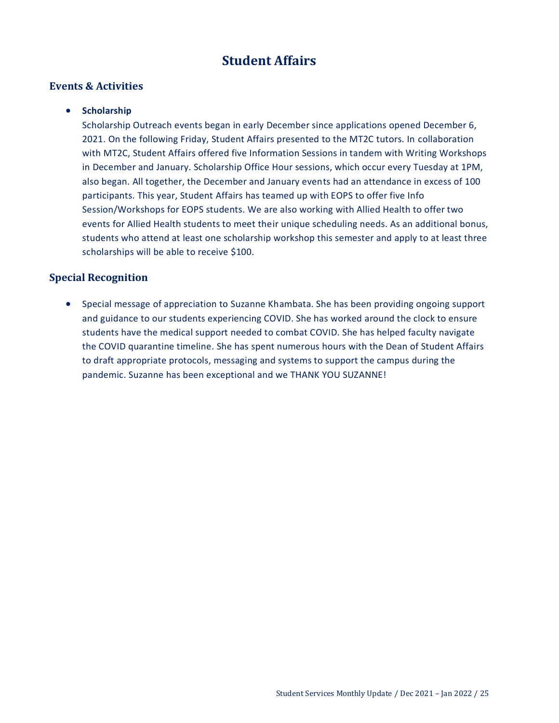## **Student Affairs**

## <span id="page-24-0"></span>**Events & Activities**

### • **Scholarship**

Scholarship Outreach events began in early December since applications opened December 6, 2021. On the following Friday, Student Affairs presented to the MT2C tutors. In collaboration with MT2C, Student Affairs offered five Information Sessions in tandem with Writing Workshops in December and January. Scholarship Office Hour sessions, which occur every Tuesday at 1PM, also began. All together, the December and January events had an attendance in excess of 100 participants. This year, Student Affairs has teamed up with EOPS to offer five Info Session/Workshops for EOPS students. We are also working with Allied Health to offer two events for Allied Health students to meet their unique scheduling needs. As an additional bonus, students who attend at least one scholarship workshop this semester and apply to at least three scholarships will be able to receive \$100.

### **Special Recognition**

• Special message of appreciation to Suzanne Khambata. She has been providing ongoing support and guidance to our students experiencing COVID. She has worked around the clock to ensure students have the medical support needed to combat COVID. She has helped faculty navigate the COVID quarantine timeline. She has spent numerous hours with the Dean of Student Affairs to draft appropriate protocols, messaging and systems to support the campus during the pandemic. Suzanne has been exceptional and we THANK YOU SUZANNE!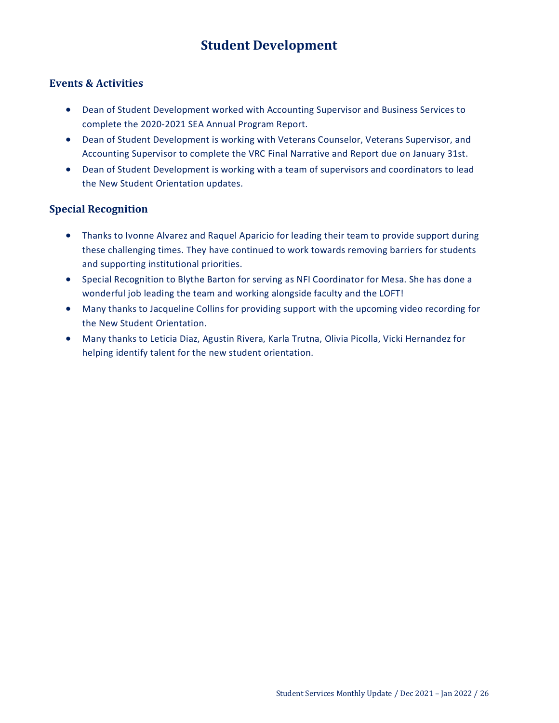## **Student Development**

## <span id="page-25-0"></span>**Events & Activities**

- Dean of Student Development worked with Accounting Supervisor and Business Services to complete the 2020-2021 SEA Annual Program Report.
- Dean of Student Development is working with Veterans Counselor, Veterans Supervisor, and Accounting Supervisor to complete the VRC Final Narrative and Report due on January 31st.
- Dean of Student Development is working with a team of supervisors and coordinators to lead the New Student Orientation updates.

## **Special Recognition**

- Thanks to Ivonne Alvarez and Raquel Aparicio for leading their team to provide support during these challenging times. They have continued to work towards removing barriers for students and supporting institutional priorities.
- Special Recognition to Blythe Barton for serving as NFI Coordinator for Mesa. She has done a wonderful job leading the team and working alongside faculty and the LOFT!
- Many thanks to Jacqueline Collins for providing support with the upcoming video recording for the New Student Orientation.
- Many thanks to Leticia Diaz, Agustin Rivera, Karla Trutna, Olivia Picolla, Vicki Hernandez for helping identify talent for the new student orientation.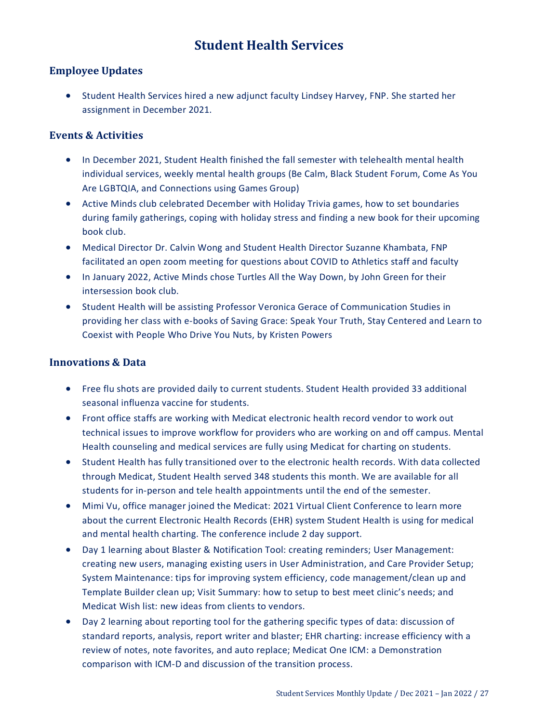## **Student Health Services**

## <span id="page-26-0"></span>**Employee Updates**

• Student Health Services hired a new adjunct faculty Lindsey Harvey, FNP. She started her assignment in December 2021.

### **Events & Activities**

- In December 2021, Student Health finished the fall semester with telehealth mental health individual services, weekly mental health groups (Be Calm, Black Student Forum, Come As You Are LGBTQIA, and Connections using Games Group)
- Active Minds club celebrated December with Holiday Trivia games, how to set boundaries during family gatherings, coping with holiday stress and finding a new book for their upcoming book club.
- Medical Director Dr. Calvin Wong and Student Health Director Suzanne Khambata, FNP facilitated an open zoom meeting for questions about COVID to Athletics staff and faculty
- In January 2022, Active Minds chose Turtles All the Way Down, by John Green for their intersession book club.
- Student Health will be assisting Professor Veronica Gerace of Communication Studies in providing her class with e-books of Saving Grace: Speak Your Truth, Stay Centered and Learn to Coexist with People Who Drive You Nuts, by Kristen Powers

### **Innovations & Data**

- Free flu shots are provided daily to current students. Student Health provided 33 additional seasonal influenza vaccine for students.
- Front office staffs are working with Medicat electronic health record vendor to work out technical issues to improve workflow for providers who are working on and off campus. Mental Health counseling and medical services are fully using Medicat for charting on students.
- Student Health has fully transitioned over to the electronic health records. With data collected through Medicat, Student Health served 348 students this month. We are available for all students for in-person and tele health appointments until the end of the semester.
- Mimi Vu, office manager joined the Medicat: 2021 Virtual Client Conference to learn more about the current Electronic Health Records (EHR) system Student Health is using for medical and mental health charting. The conference include 2 day support.
- Day 1 learning about Blaster & Notification Tool: creating reminders; User Management: creating new users, managing existing users in User Administration, and Care Provider Setup; System Maintenance: tips for improving system efficiency, code management/clean up and Template Builder clean up; Visit Summary: how to setup to best meet clinic's needs; and Medicat Wish list: new ideas from clients to vendors.
- Day 2 learning about reporting tool for the gathering specific types of data: discussion of standard reports, analysis, report writer and blaster; EHR charting: increase efficiency with a review of notes, note favorites, and auto replace; Medicat One ICM: a Demonstration comparison with ICM-D and discussion of the transition process.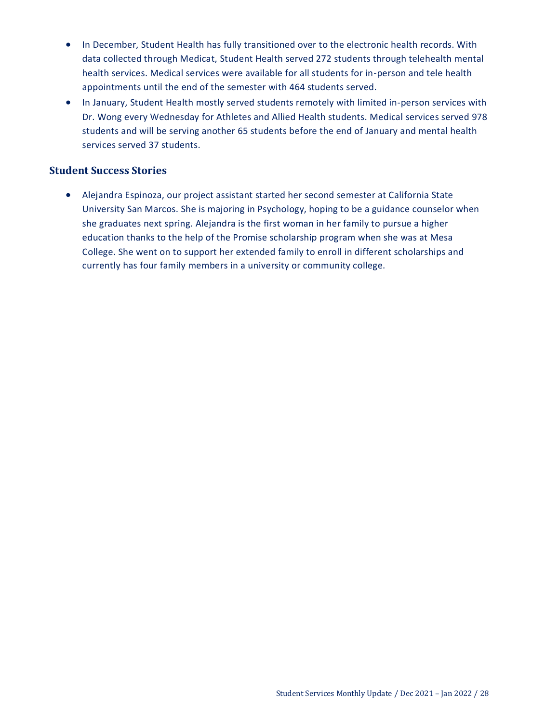- In December, Student Health has fully transitioned over to the electronic health records. With data collected through Medicat, Student Health served 272 students through telehealth mental health services. Medical services were available for all students for in-person and tele health appointments until the end of the semester with 464 students served.
- In January, Student Health mostly served students remotely with limited in-person services with Dr. Wong every Wednesday for Athletes and Allied Health students. Medical services served 978 students and will be serving another 65 students before the end of January and mental health services served 37 students.

### **Student Success Stories**

• Alejandra Espinoza, our project assistant started her second semester at California State University San Marcos. She is majoring in Psychology, hoping to be a guidance counselor when she graduates next spring. Alejandra is the first woman in her family to pursue a higher education thanks to the help of the Promise scholarship program when she was at Mesa College. She went on to support her extended family to enroll in different scholarships and currently has four family members in a university or community college.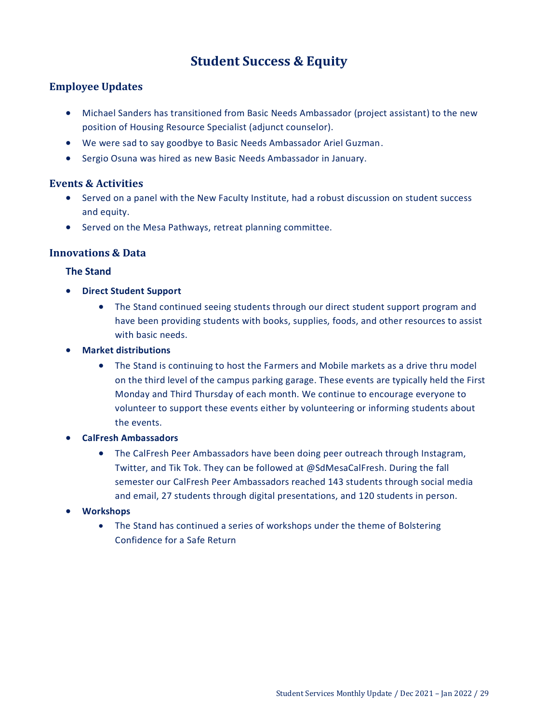## **Student Success & Equity**

## <span id="page-28-0"></span>**Employee Updates**

- Michael Sanders has transitioned from Basic Needs Ambassador (project assistant) to the new position of Housing Resource Specialist (adjunct counselor).
- We were sad to say goodbye to Basic Needs Ambassador Ariel Guzman.
- Sergio Osuna was hired as new Basic Needs Ambassador in January.

#### **Events & Activities**

- Served on a panel with the New Faculty Institute, had a robust discussion on student success and equity.
- Served on the Mesa Pathways, retreat planning committee.

### **Innovations & Data**

#### **The Stand**

- **Direct Student Support**
	- The Stand continued seeing students through our direct student support program and have been providing students with books, supplies, foods, and other resources to assist with basic needs.
- **Market distributions**
	- The Stand is continuing to host the Farmers and Mobile markets as a drive thru model on the third level of the campus parking garage. These events are typically held the First Monday and Third Thursday of each month. We continue to encourage everyone to volunteer to support these events either by volunteering or informing students about the events.
- **CalFresh Ambassadors**
	- The CalFresh Peer Ambassadors have been doing peer outreach through Instagram, Twitter, and Tik Tok. They can be followed at @SdMesaCalFresh. During the fall semester our CalFresh Peer Ambassadors reached 143 students through social media and email, 27 students through digital presentations, and 120 students in person.
- **Workshops** 
	- The Stand has continued a series of workshops under the theme of Bolstering Confidence for a Safe Return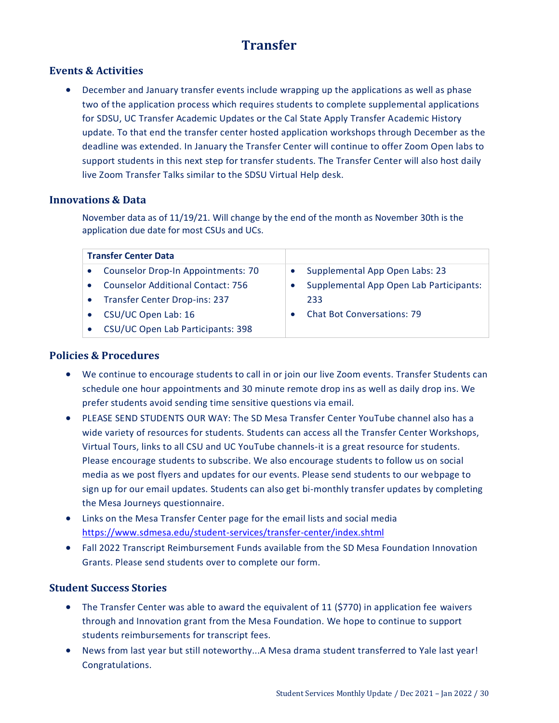## **Transfer**

### <span id="page-29-0"></span>**Events & Activities**

• December and January transfer events include wrapping up the applications as well as phase two of the application process which requires students to complete supplemental applications for SDSU, UC Transfer Academic Updates or the Cal State Apply Transfer Academic History update. To that end the transfer center hosted application workshops through December as the deadline was extended. In January the Transfer Center will continue to offer Zoom Open labs to support students in this next step for transfer students. The Transfer Center will also host daily live Zoom Transfer Talks similar to the SDSU Virtual Help desk.

### **Innovations & Data**

November data as of 11/19/21. Will change by the end of the month as November 30th is the application due date for most CSUs and UCs.

| <b>Transfer Center Data</b> |                                           |  |                                         |
|-----------------------------|-------------------------------------------|--|-----------------------------------------|
|                             | <b>Counselor Drop-In Appointments: 70</b> |  | Supplemental App Open Labs: 23          |
|                             | <b>Counselor Additional Contact: 756</b>  |  | Supplemental App Open Lab Participants: |
|                             | <b>Transfer Center Drop-ins: 237</b>      |  | 233                                     |
|                             | CSU/UC Open Lab: 16                       |  | <b>Chat Bot Conversations: 79</b>       |
|                             | CSU/UC Open Lab Participants: 398         |  |                                         |

### **Policies & Procedures**

- We continue to encourage students to call in or join our live Zoom events. Transfer Students can schedule one hour appointments and 30 minute remote drop ins as well as daily drop ins. We prefer students avoid sending time sensitive questions via email.
- PLEASE SEND STUDENTS OUR WAY: The SD Mesa Transfer Center YouTube channel also has a wide variety of resources for students. Students can access all the Transfer Center Workshops, Virtual Tours, links to all CSU and UC YouTube channels-it is a great resource for students. Please encourage students to subscribe. We also encourage students to follow us on social media as we post flyers and updates for our events. Please send students to our webpage to sign up for our email updates. Students can also get bi-monthly transfer updates by completing the Mesa Journeys questionnaire.
- Links on the Mesa Transfer Center page for the email lists and social media <https://www.sdmesa.edu/student-services/transfer-center/index.shtml>
- Fall 2022 Transcript Reimbursement Funds available from the SD Mesa Foundation Innovation Grants. Please send students over to complete our form.

### **Student Success Stories**

- The Transfer Center was able to award the equivalent of 11 (\$770) in application fee waivers through and Innovation grant from the Mesa Foundation. We hope to continue to support students reimbursements for transcript fees.
- News from last year but still noteworthy...A Mesa drama student transferred to Yale last year! Congratulations.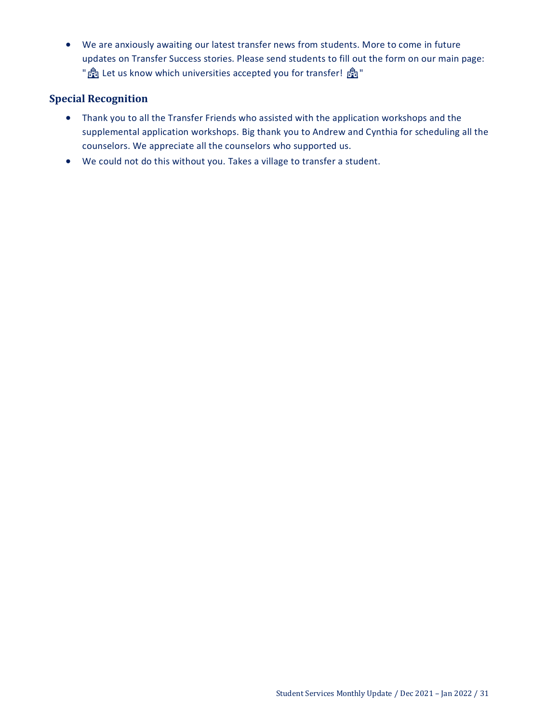• We are anxiously awaiting our latest transfer news from students. More to come in future updates on Transfer Success stories. Please send students to fill out the form on our main page: " a Let us know which universities accepted you for transfer! a "

## **Special Recognition**

- Thank you to all the Transfer Friends who assisted with the application workshops and the supplemental application workshops. Big thank you to Andrew and Cynthia for scheduling all the counselors. We appreciate all the counselors who supported us.
- We could not do this without you. Takes a village to transfer a student.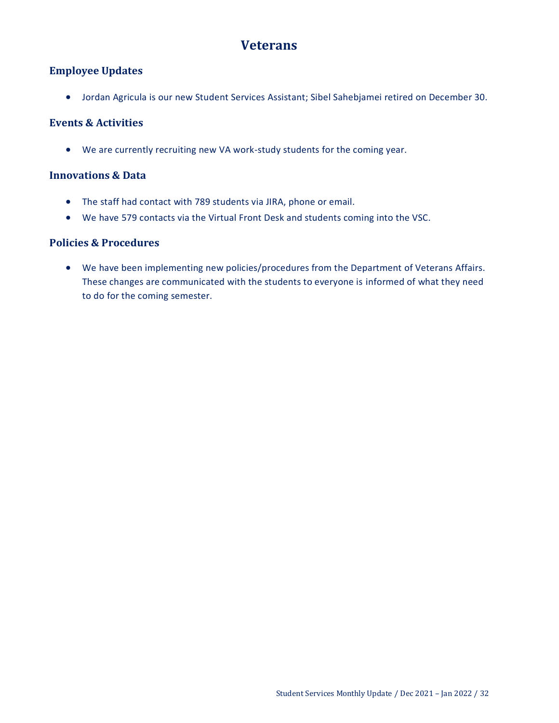## **Veterans**

## <span id="page-31-0"></span>**Employee Updates**

• Jordan Agricula is our new Student Services Assistant; Sibel Sahebjamei retired on December 30.

## **Events & Activities**

• We are currently recruiting new VA work-study students for the coming year.

### **Innovations & Data**

- The staff had contact with 789 students via JIRA, phone or email.
- We have 579 contacts via the Virtual Front Desk and students coming into the VSC.

## **Policies & Procedures**

• We have been implementing new policies/procedures from the Department of Veterans Affairs. These changes are communicated with the students to everyone is informed of what they need to do for the coming semester.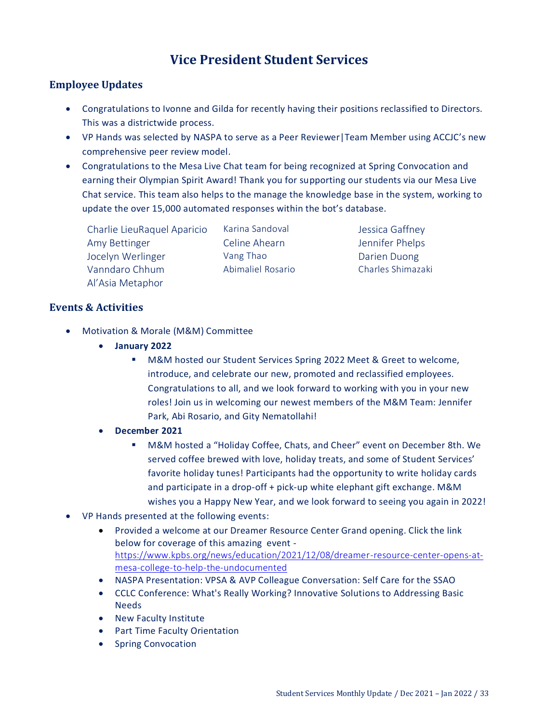## **Vice President Student Services**

## <span id="page-32-0"></span>**Employee Updates**

- Congratulations to Ivonne and Gilda for recently having their positions reclassified to Directors. This was a districtwide process.
- VP Hands was selected by NASPA to serve as a Peer Reviewer|Team Member using ACCJC's new comprehensive peer review model.
- Congratulations to the Mesa Live Chat team for being recognized at Spring Convocation and earning their Olympian Spirit Award! Thank you for supporting our students via our Mesa Live Chat service. This team also helps to the manage the knowledge base in the system, working to update the over 15,000 automated responses within the bot's database.

Charlie LieuRaquel Aparicio Karina Sandoval **Interpretata Carlia Carlia Carlia Carlia** Jessica Gaffney Amy Bettinger Celine Ahearn States and Bennifer Phelps Jocelyn Werlinger **Vang Thao** Darien Duong Vanndaro Chhum Abimaliel Rosario Charles Shimazaki Al'Asia Metaphor

### **Events & Activities**

- Motivation & Morale (M&M) Committee
	- **January 2022**
		- M&M hosted our Student Services Spring 2022 Meet & Greet to welcome, introduce, and celebrate our new, promoted and reclassified employees. Congratulations to all, and we look forward to working with you in your new roles! Join us in welcoming our newest members of the M&M Team: Jennifer Park, Abi Rosario, and Gity Nematollahi!
	- **December 2021**
		- M&M hosted a "Holiday Coffee, Chats, and Cheer" event on December 8th. We served coffee brewed with love, holiday treats, and some of Student Services' favorite holiday tunes! Participants had the opportunity to write holiday cards and participate in a drop-off + pick-up white elephant gift exchange. M&M wishes you a Happy New Year, and we look forward to seeing you again in 2022!
- VP Hands presented at the following events:
	- Provided a welcome at our Dreamer Resource Center Grand opening. Click the link below for coverage of this amazing event [https://www.kpbs.org/news/education/2021/12/08/dreamer-resource-center-opens-at](https://www.kpbs.org/news/education/2021/12/08/dreamer-resource-center-opens-at-mesa-college-to-help-the-undocumented)[mesa-college-to-help-the-undocumented](https://www.kpbs.org/news/education/2021/12/08/dreamer-resource-center-opens-at-mesa-college-to-help-the-undocumented)
	- NASPA Presentation: VPSA & AVP Colleague Conversation: Self Care for the SSAO
	- CCLC Conference: What's Really Working? Innovative Solutions to Addressing Basic Needs
	- New Faculty Institute
	- Part Time Faculty Orientation
	- Spring Convocation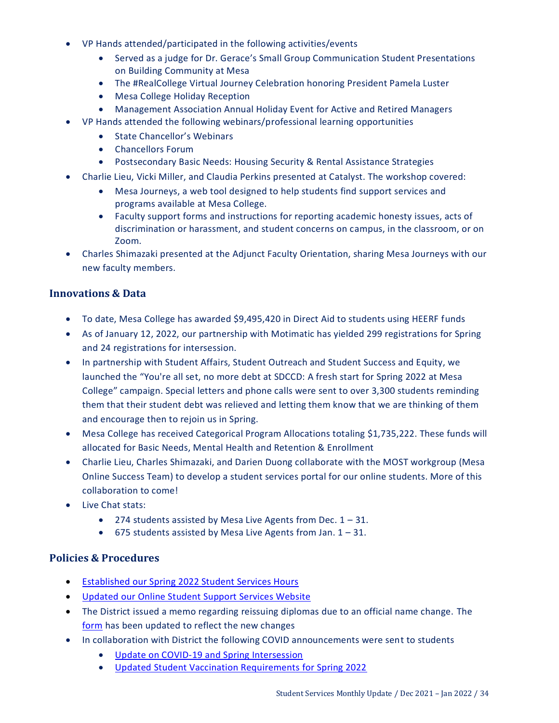- VP Hands attended/participated in the following activities/events
	- Served as a judge for Dr. Gerace's Small Group Communication Student Presentations on Building Community at Mesa
	- The #RealCollege Virtual Journey Celebration honoring President Pamela Luster
	- Mesa College Holiday Reception
	- Management Association Annual Holiday Event for Active and Retired Managers
- VP Hands attended the following webinars/professional learning opportunities
	- State Chancellor's Webinars
	- Chancellors Forum
	- Postsecondary Basic Needs: Housing Security & Rental Assistance Strategies
- Charlie Lieu, Vicki Miller, and Claudia Perkins presented at Catalyst. The workshop covered:
	- Mesa Journeys, a web tool designed to help students find support services and programs available at Mesa College.
	- Faculty support forms and instructions for reporting academic honesty issues, acts of discrimination or harassment, and student concerns on campus, in the classroom, or on Zoom.
- Charles Shimazaki presented at the Adjunct Faculty Orientation, sharing Mesa Journeys with our new faculty members.

### **Innovations & Data**

- To date, Mesa College has awarded \$9,495,420 in Direct Aid to students using HEERF funds
- As of January 12, 2022, our partnership with Motimatic has yielded 299 registrations for Spring and 24 registrations for intersession.
- In partnership with Student Affairs, Student Outreach and Student Success and Equity, we launched the "You're all set, no more debt at SDCCD: A fresh start for Spring 2022 at Mesa College" campaign. Special letters and phone calls were sent to over 3,300 students reminding them that their student debt was relieved and letting them know that we are thinking of them and encourage then to rejoin us in Spring.
- Mesa College has received Categorical Program Allocations totaling \$1,735,222. These funds will allocated for Basic Needs, Mental Health and Retention & Enrollment
- Charlie Lieu, Charles Shimazaki, and Darien Duong collaborate with the MOST workgroup (Mesa Online Success Team) to develop a student services portal for our online students. More of this collaboration to come!
- Live Chat stats:
	- 274 students assisted by Mesa Live Agents from Dec.  $1 31$ .
	- $\bullet$  675 students assisted by Mesa Live Agents from Jan.  $1 31$ .

### **Policies & Procedures**

- [Established our Spring 2022 Student Services Hours](https://www.sdmesa.edu/student-services/SP22%20Services%20Flyer-2.pdf)
- [Updated our Online Student Support Services Website](https://www.sdmesa.edu/student-services/online-student-support-services.shtml)
- The District issued a memo regarding reissuing diplomas due to an official name change. The [form](https://www.sdccd.edu/docs/StudentServices/Forms/Processing%20Fees%20for%20Reissuing%20Diplomas%202022_CS_Fillable.pdf) has been updated to reflect the new changes
- In collaboration with District the following COVID announcements were sent to students
	- [Update on COVID-19 and Spring Intersession](https://www.sdmesa.edu/covid19/documents/SDCCD%20COVID-19%20Email%20on%20Omicron%2001-02-2022.pdf)
	- [Updated Student Vaccination Requirements for Spring 2022](https://www.sdmesa.edu/covid19/documents/A26_Full_Vaccination_Notice%20-%20Spring%2022.pdf)